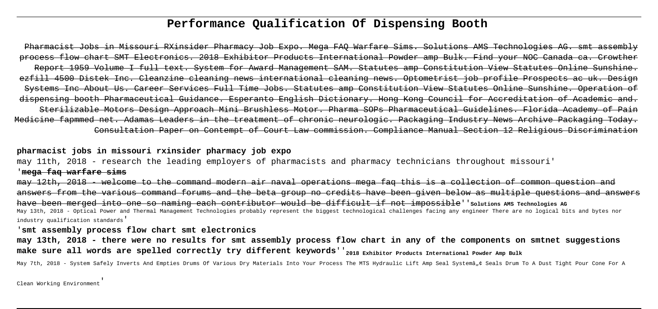# **Performance Qualification Of Dispensing Booth**

Pharmacist Jobs in Missouri RXinsider Pharmacy Job Expo. Mega FAQ Warfare Sims. Solutions AMS Technologies AG. smt assembly process flow chart SMT Electronics. 2018 Exhibitor Products International Powder amp Bulk. Find your NOC Canada ca. Crowther Report 1959 Volume I full text. System for Award Management SAM. Statutes amp Constitution View Statutes Online Sunshine. ezfill 4500 Distek Inc. Cleanzine cleaning news international cleaning news. Optometrist job profile Prospects ac uk. Design Systems Inc About Us. Career Services Full Time Jobs. Statutes amp Constitution View Statutes Online Sunshine. Operation of dispensing booth Pharmaceutical Guidance. Esperanto English Dictionary. Hong Kong Council for Accreditation of Academic and. Sterilizable Motors Design Approach Mini Brushless Motor. Pharma SOPs Pharmaceutical Guidelines. Florida Academy of Pain Medicine fapmmed net. Adamas Leaders in the treatment of chronic neurologic. Packaging Industry News Archive Packaging Today. Consultation Paper on Contempt of Court Law commission. Compliance Manual Section 12 Religious Discrimination

# **pharmacist jobs in missouri rxinsider pharmacy job expo**

may 11th, 2018 - research the leading employers of pharmacists and pharmacy technicians throughout missouri' '**mega faq warfare sims**

may 12th, 2018 - welcome to the command modern air naval operations mega faq this is a collection of common question and answers from the various command forums and the beta group no credits have been given below as multiple questions and answers have been merged into one so naming each contributor would be difficult if not impossible''solutions AMS Technologies AG May 13th, 2018 - Optical Power and Thermal Management Technologies probably represent the biggest technological challenges facing any engineer There are no logical bits and bytes nor industry qualification standards'

#### '**smt assembly process flow chart smt electronics**

**may 13th, 2018 - there were no results for smt assembly process flow chart in any of the components on smtnet suggestions make sure all words are spelled correctly try different keywords**''**2018 Exhibitor Products International Powder Amp Bulk**

May 7th, 2018 - System Safely Inverts And Empties Drums Of Various Dry Materials Into Your Process The MTS Hydraulic Lift Amp Seal Systemâ"¢ Seals Drum To A Dust Tight Pour Cone For A

Clean Working Environment'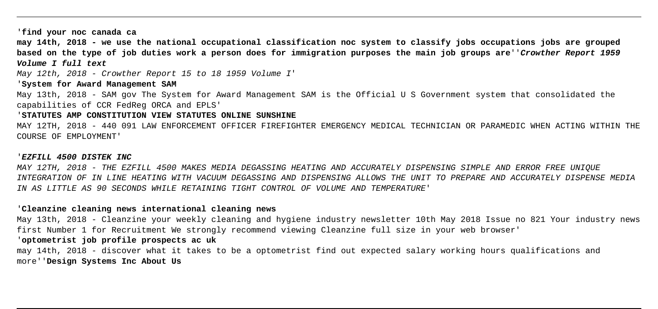'**find your noc canada ca**

**may 14th, 2018 - we use the national occupational classification noc system to classify jobs occupations jobs are grouped based on the type of job duties work a person does for immigration purposes the main job groups are**''**Crowther Report 1959 Volume I full text**

May 12th, 2018 - Crowther Report 15 to 18 1959 Volume I'

'**System for Award Management SAM**

May 13th, 2018 - SAM gov The System for Award Management SAM is the Official U S Government system that consolidated the capabilities of CCR FedReg ORCA and EPLS'

#### '**STATUTES AMP CONSTITUTION VIEW STATUTES ONLINE SUNSHINE**

MAY 12TH, 2018 - 440 091 LAW ENFORCEMENT OFFICER FIREFIGHTER EMERGENCY MEDICAL TECHNICIAN OR PARAMEDIC WHEN ACTING WITHIN THE COURSE OF EMPLOYMENT'

#### '**EZFILL 4500 DISTEK INC**

MAY 12TH, 2018 - THE EZFILL 4500 MAKES MEDIA DEGASSING HEATING AND ACCURATELY DISPENSING SIMPLE AND ERROR FREE UNIQUE INTEGRATION OF IN LINE HEATING WITH VACUUM DEGASSING AND DISPENSING ALLOWS THE UNIT TO PREPARE AND ACCURATELY DISPENSE MEDIA IN AS LITTLE AS 90 SECONDS WHILE RETAINING TIGHT CONTROL OF VOLUME AND TEMPERATURE'

### '**Cleanzine cleaning news international cleaning news**

May 13th, 2018 - Cleanzine your weekly cleaning and hygiene industry newsletter 10th May 2018 Issue no 821 Your industry news first Number 1 for Recruitment We strongly recommend viewing Cleanzine full size in your web browser'

# '**optometrist job profile prospects ac uk**

may 14th, 2018 - discover what it takes to be a optometrist find out expected salary working hours qualifications and more''**Design Systems Inc About Us**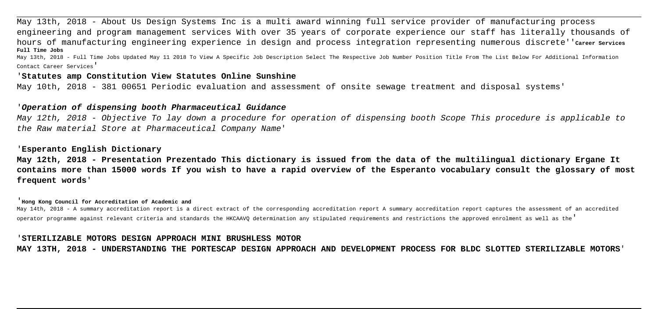May 13th, 2018 - About Us Design Systems Inc is a multi award winning full service provider of manufacturing process engineering and program management services With over 35 years of corporate experience our staff has literally thousands of hours of manufacturing engineering experience in design and process integration representing numerous discrete''**Career Services Full Time Jobs**

May 13th, 2018 - Full Time Jobs Updated May 11 2018 To View A Specific Job Description Select The Respective Job Number Position Title From The List Below For Additional Information Contact Career Services'

### '**Statutes amp Constitution View Statutes Online Sunshine**

May 10th, 2018 - 381 00651 Periodic evaluation and assessment of onsite sewage treatment and disposal systems'

# '**Operation of dispensing booth Pharmaceutical Guidance**

May 12th, 2018 - Objective To lay down a procedure for operation of dispensing booth Scope This procedure is applicable to the Raw material Store at Pharmaceutical Company Name'

# '**Esperanto English Dictionary**

**May 12th, 2018 - Presentation Prezentado This dictionary is issued from the data of the multilingual dictionary Ergane It contains more than 15000 words If you wish to have a rapid overview of the Esperanto vocabulary consult the glossary of most frequent words**'

#### '**Hong Kong Council for Accreditation of Academic and**

May 14th, 2018 - A summary accreditation report is a direct extract of the corresponding accreditation report A summary accreditation report captures the assessment of an accredited operator programme against relevant criteria and standards the HKCAAVQ determination any stipulated requirements and restrictions the approved enrolment as well as the'

#### '**STERILIZABLE MOTORS DESIGN APPROACH MINI BRUSHLESS MOTOR**

**MAY 13TH, 2018 - UNDERSTANDING THE PORTESCAP DESIGN APPROACH AND DEVELOPMENT PROCESS FOR BLDC SLOTTED STERILIZABLE MOTORS**'